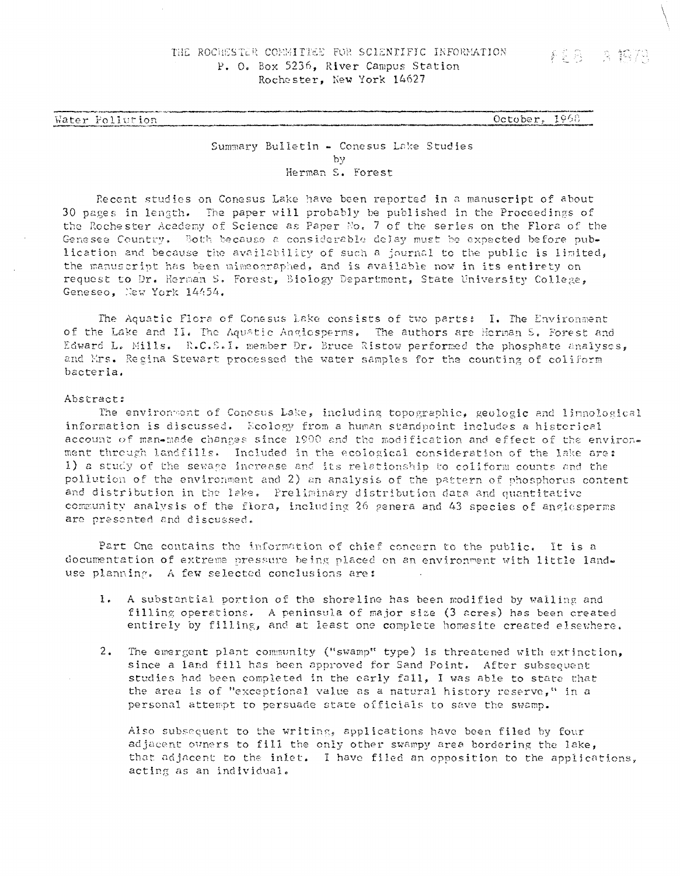Vater Pollution Corober, 1968

## Summary Bulletin - Conesus Lake Studies by Herman S. Forest

Recent studies on Conesus Lake have been reported in a manuscript of about 30 pages in length. The paper will probably be published in the Proceedings of the Rochester Academy of Science as Paper No, 7 of the series on the Flora of the Genesee Country, Both because a considerable delay must be expected before publication and because the availability of such a journal to the public is limited, the manuscript has been mimeograp'ned, and is available now in its entirety on request to Dr. Kerman S. Forest, Biology Department, State University College, Geneseo, New York 14454.

The Aquatic Flora of Conesus Lake consists of two partsi I. The Environment of the Lake and II. The Aquatic Angiosperms. The authors are Herman S. Forest and Edward L» Mills. R.C.B.I. member Dr. Bruce Ristow performed the phosphate analyses, and Mrs. Regina Stewart processed the water samples for the counting of coliform bacteria.

## Abstract:

The environment of Conesus Lake, including topographic, geologic and limnological information is discussed. Ecology from a human standpoint includes a historical account of man-made changes since 1900 and the modification and effect of the environment through landfills. Included in the ecological consideration of the lake ares 1) a study of the sewage increase and its relationship to coliform counts and the pollution of the environment and 2) an analysis of the pattern of phosphorus content and distribution in the lake. Preliminary distribution data and quantitative community analysis of the flora, including 26 genera and 43 species of angle sperms arc presented and discussed.

Part One contains the information of chief concern to the public. It is a documentation of extreme pressure being placed on an environment with little landuse planning. A few selected conclusions are*t*

- 1. A substantial portion of the shoreline has been modified by walling and filling operations. A peninsula of major size (3 acres) has been created entirely by filling, and at least one complete homesite created elsewhere,
- 2. The emergent plant community ("swamp" type) is threatened with extinction, since a land fill has been approved for Sand Point. After subsequent studies had been completed in the early fall, I was able to state that the area is of "exceptional value as a natural history reserve," in a persona! attempt to persuade state officials to save the swamp.

Also subsequent to the writing, applications have been filed by four adjacent owners to fill the only other swampy area bordering the lake, that adjacent to the inlet. I have filed an opposition to the applications, acting as an individual.